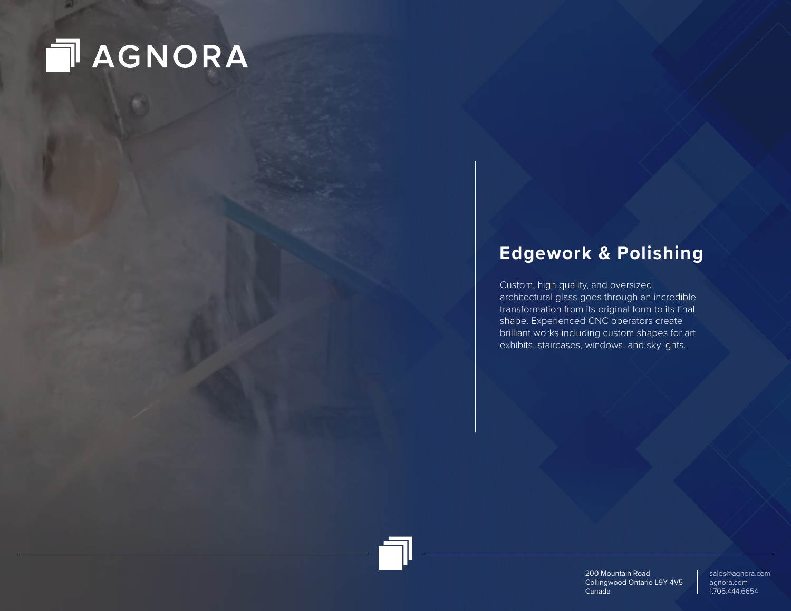## **NAGNORA**

### **Edgework & Polishing**

Custom, high quality, and oversized architectural glass goes through an incredible transformation from its original form to its final shape. Experienced CNC operators create brilliant works including custom shapes for art exhibits, staircases, windows, and skylights.

> 200 Mountain Road Collingwood Ontario L9Y 4V5 Canada

sales@agnora.com agnora.com 1.705.444.6654